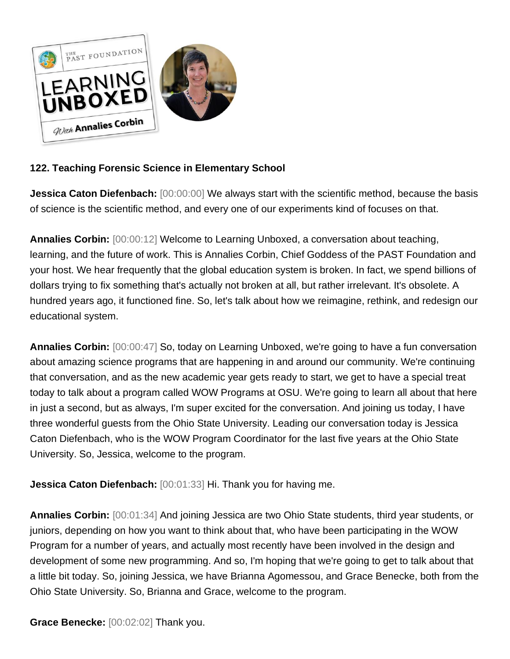

## **122. Teaching Forensic Science in Elementary School**

**Jessica Caton Diefenbach:**  $[00:00:00]$  We always start with the scientific method, because the basis of science is the scientific method, and every one of our experiments kind of focuses on that.

**Annalies Corbin:** [00:00:12] Welcome to Learning Unboxed, a conversation about teaching, learning, and the future of work. This is Annalies Corbin, Chief Goddess of the PAST Foundation and your host. We hear frequently that the global education system is broken. In fact, we spend billions of dollars trying to fix something that's actually not broken at all, but rather irrelevant. It's obsolete. A hundred years ago, it functioned fine. So, let's talk about how we reimagine, rethink, and redesign our educational system.

**Annalies Corbin:** [00:00:47] So, today on Learning Unboxed, we're going to have a fun conversation about amazing science programs that are happening in and around our community. We're continuing that conversation, and as the new academic year gets ready to start, we get to have a special treat today to talk about a program called WOW Programs at OSU. We're going to learn all about that here in just a second, but as always, I'm super excited for the conversation. And joining us today, I have three wonderful guests from the Ohio State University. Leading our conversation today is Jessica Caton Diefenbach, who is the WOW Program Coordinator for the last five years at the Ohio State University. So, Jessica, welcome to the program.

**Jessica Caton Diefenbach:** [00:01:33] Hi. Thank you for having me.

**Annalies Corbin:** [00:01:34] And joining Jessica are two Ohio State students, third year students, or juniors, depending on how you want to think about that, who have been participating in the WOW Program for a number of years, and actually most recently have been involved in the design and development of some new programming. And so, I'm hoping that we're going to get to talk about that a little bit today. So, joining Jessica, we have Brianna Agomessou, and Grace Benecke, both from the Ohio State University. So, Brianna and Grace, welcome to the program.

**Grace Benecke:** [00:02:02] Thank you.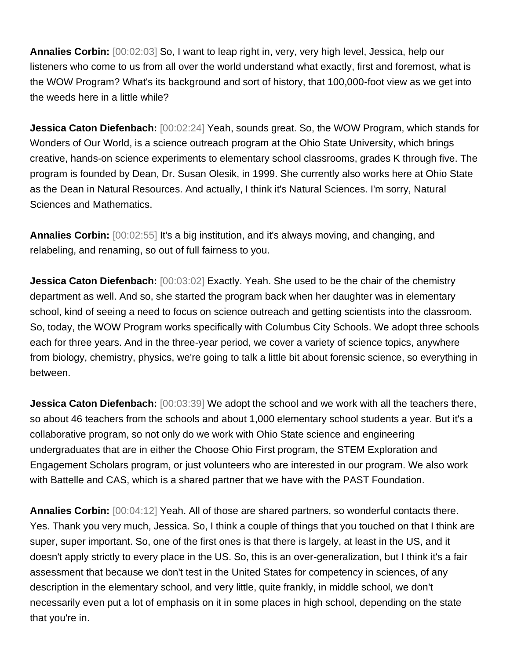**Annalies Corbin:** [00:02:03] So, I want to leap right in, very, very high level, Jessica, help our listeners who come to us from all over the world understand what exactly, first and foremost, what is the WOW Program? What's its background and sort of history, that 100,000-foot view as we get into the weeds here in a little while?

**Jessica Caton Diefenbach:** [00:02:24] Yeah, sounds great. So, the WOW Program, which stands for Wonders of Our World, is a science outreach program at the Ohio State University, which brings creative, hands-on science experiments to elementary school classrooms, grades K through five. The program is founded by Dean, Dr. Susan Olesik, in 1999. She currently also works here at Ohio State as the Dean in Natural Resources. And actually, I think it's Natural Sciences. I'm sorry, Natural Sciences and Mathematics.

**Annalies Corbin:** [00:02:55] It's a big institution, and it's always moving, and changing, and relabeling, and renaming, so out of full fairness to you.

**Jessica Caton Diefenbach:** [00:03:02] Exactly. Yeah. She used to be the chair of the chemistry department as well. And so, she started the program back when her daughter was in elementary school, kind of seeing a need to focus on science outreach and getting scientists into the classroom. So, today, the WOW Program works specifically with Columbus City Schools. We adopt three schools each for three years. And in the three-year period, we cover a variety of science topics, anywhere from biology, chemistry, physics, we're going to talk a little bit about forensic science, so everything in between.

**Jessica Caton Diefenbach:** [00:03:39] We adopt the school and we work with all the teachers there, so about 46 teachers from the schools and about 1,000 elementary school students a year. But it's a collaborative program, so not only do we work with Ohio State science and engineering undergraduates that are in either the Choose Ohio First program, the STEM Exploration and Engagement Scholars program, or just volunteers who are interested in our program. We also work with Battelle and CAS, which is a shared partner that we have with the PAST Foundation.

**Annalies Corbin:** [00:04:12] Yeah. All of those are shared partners, so wonderful contacts there. Yes. Thank you very much, Jessica. So, I think a couple of things that you touched on that I think are super, super important. So, one of the first ones is that there is largely, at least in the US, and it doesn't apply strictly to every place in the US. So, this is an over-generalization, but I think it's a fair assessment that because we don't test in the United States for competency in sciences, of any description in the elementary school, and very little, quite frankly, in middle school, we don't necessarily even put a lot of emphasis on it in some places in high school, depending on the state that you're in.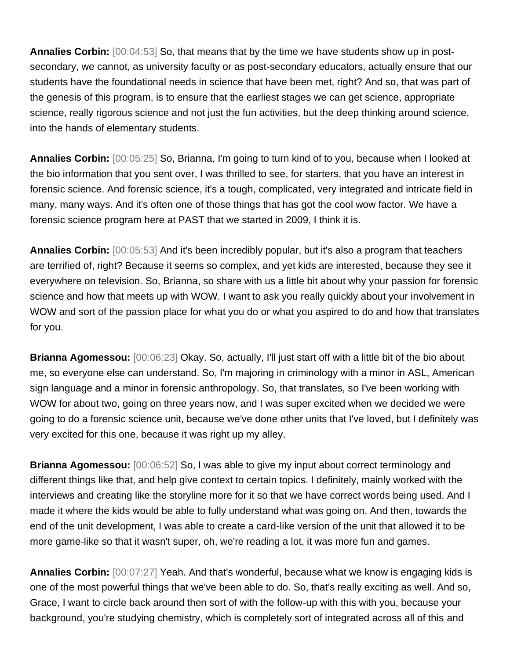**Annalies Corbin:** [00:04:53] So, that means that by the time we have students show up in postsecondary, we cannot, as university faculty or as post-secondary educators, actually ensure that our students have the foundational needs in science that have been met, right? And so, that was part of the genesis of this program, is to ensure that the earliest stages we can get science, appropriate science, really rigorous science and not just the fun activities, but the deep thinking around science, into the hands of elementary students.

**Annalies Corbin:** [00:05:25] So, Brianna, I'm going to turn kind of to you, because when I looked at the bio information that you sent over, I was thrilled to see, for starters, that you have an interest in forensic science. And forensic science, it's a tough, complicated, very integrated and intricate field in many, many ways. And it's often one of those things that has got the cool wow factor. We have a forensic science program here at PAST that we started in 2009, I think it is.

**Annalies Corbin:** [00:05:53] And it's been incredibly popular, but it's also a program that teachers are terrified of, right? Because it seems so complex, and yet kids are interested, because they see it everywhere on television. So, Brianna, so share with us a little bit about why your passion for forensic science and how that meets up with WOW. I want to ask you really quickly about your involvement in WOW and sort of the passion place for what you do or what you aspired to do and how that translates for you.

**Brianna Agomessou:** [00:06:23] Okay. So, actually, I'll just start off with a little bit of the bio about me, so everyone else can understand. So, I'm majoring in criminology with a minor in ASL, American sign language and a minor in forensic anthropology. So, that translates, so I've been working with WOW for about two, going on three years now, and I was super excited when we decided we were going to do a forensic science unit, because we've done other units that I've loved, but I definitely was very excited for this one, because it was right up my alley.

**Brianna Agomessou:** [00:06:52] So, I was able to give my input about correct terminology and different things like that, and help give context to certain topics. I definitely, mainly worked with the interviews and creating like the storyline more for it so that we have correct words being used. And I made it where the kids would be able to fully understand what was going on. And then, towards the end of the unit development, I was able to create a card-like version of the unit that allowed it to be more game-like so that it wasn't super, oh, we're reading a lot, it was more fun and games.

**Annalies Corbin:** [00:07:27] Yeah. And that's wonderful, because what we know is engaging kids is one of the most powerful things that we've been able to do. So, that's really exciting as well. And so, Grace, I want to circle back around then sort of with the follow-up with this with you, because your background, you're studying chemistry, which is completely sort of integrated across all of this and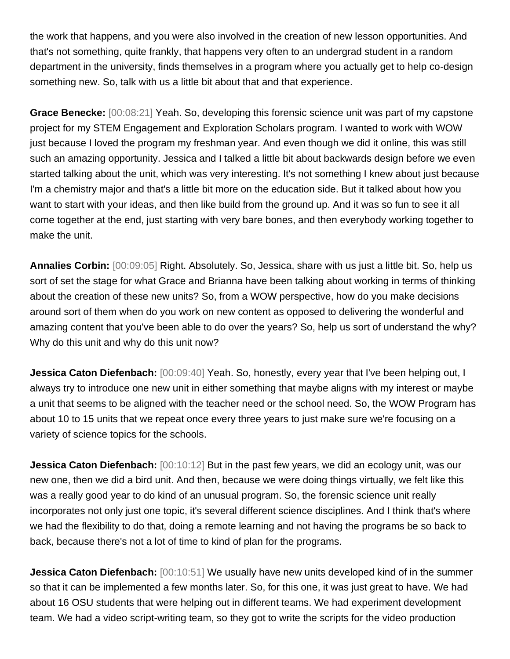the work that happens, and you were also involved in the creation of new lesson opportunities. And that's not something, quite frankly, that happens very often to an undergrad student in a random department in the university, finds themselves in a program where you actually get to help co-design something new. So, talk with us a little bit about that and that experience.

**Grace Benecke:** [00:08:21] Yeah. So, developing this forensic science unit was part of my capstone project for my STEM Engagement and Exploration Scholars program. I wanted to work with WOW just because I loved the program my freshman year. And even though we did it online, this was still such an amazing opportunity. Jessica and I talked a little bit about backwards design before we even started talking about the unit, which was very interesting. It's not something I knew about just because I'm a chemistry major and that's a little bit more on the education side. But it talked about how you want to start with your ideas, and then like build from the ground up. And it was so fun to see it all come together at the end, just starting with very bare bones, and then everybody working together to make the unit.

**Annalies Corbin:** [00:09:05] Right. Absolutely. So, Jessica, share with us just a little bit. So, help us sort of set the stage for what Grace and Brianna have been talking about working in terms of thinking about the creation of these new units? So, from a WOW perspective, how do you make decisions around sort of them when do you work on new content as opposed to delivering the wonderful and amazing content that you've been able to do over the years? So, help us sort of understand the why? Why do this unit and why do this unit now?

**Jessica Caton Diefenbach:** [00:09:40] Yeah. So, honestly, every year that I've been helping out, I always try to introduce one new unit in either something that maybe aligns with my interest or maybe a unit that seems to be aligned with the teacher need or the school need. So, the WOW Program has about 10 to 15 units that we repeat once every three years to just make sure we're focusing on a variety of science topics for the schools.

**Jessica Caton Diefenbach:** [00:10:12] But in the past few years, we did an ecology unit, was our new one, then we did a bird unit. And then, because we were doing things virtually, we felt like this was a really good year to do kind of an unusual program. So, the forensic science unit really incorporates not only just one topic, it's several different science disciplines. And I think that's where we had the flexibility to do that, doing a remote learning and not having the programs be so back to back, because there's not a lot of time to kind of plan for the programs.

**Jessica Caton Diefenbach:** [00:10:51] We usually have new units developed kind of in the summer so that it can be implemented a few months later. So, for this one, it was just great to have. We had about 16 OSU students that were helping out in different teams. We had experiment development team. We had a video script-writing team, so they got to write the scripts for the video production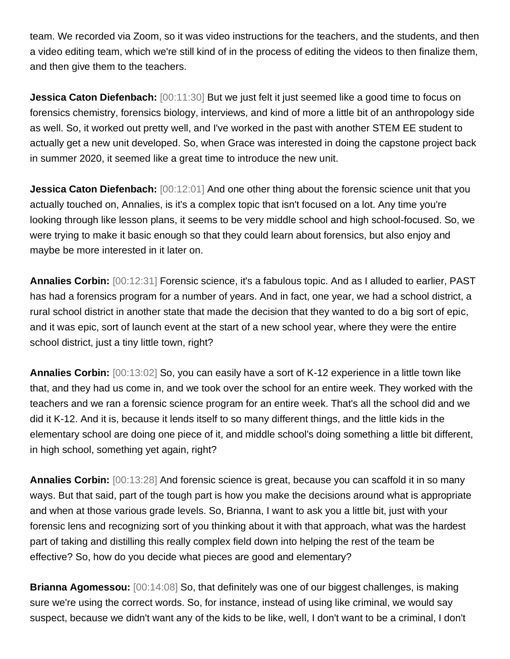team. We recorded via Zoom, so it was video instructions for the teachers, and the students, and then a video editing team, which we're still kind of in the process of editing the videos to then finalize them, and then give them to the teachers.

**Jessica Caton Diefenbach:** [00:11:30] But we just felt it just seemed like a good time to focus on forensics chemistry, forensics biology, interviews, and kind of more a little bit of an anthropology side as well. So, it worked out pretty well, and I've worked in the past with another STEM EE student to actually get a new unit developed. So, when Grace was interested in doing the capstone project back in summer 2020, it seemed like a great time to introduce the new unit.

**Jessica Caton Diefenbach:**  $[00:12:01]$  And one other thing about the forensic science unit that you actually touched on, Annalies, is it's a complex topic that isn't focused on a lot. Any time you're looking through like lesson plans, it seems to be very middle school and high school-focused. So, we were trying to make it basic enough so that they could learn about forensics, but also enjoy and maybe be more interested in it later on.

**Annalies Corbin:** [00:12:31] Forensic science, it's a fabulous topic. And as I alluded to earlier, PAST has had a forensics program for a number of years. And in fact, one year, we had a school district, a rural school district in another state that made the decision that they wanted to do a big sort of epic, and it was epic, sort of launch event at the start of a new school year, where they were the entire school district, just a tiny little town, right?

**Annalies Corbin:** [00:13:02] So, you can easily have a sort of K-12 experience in a little town like that, and they had us come in, and we took over the school for an entire week. They worked with the teachers and we ran a forensic science program for an entire week. That's all the school did and we did it K-12. And it is, because it lends itself to so many different things, and the little kids in the elementary school are doing one piece of it, and middle school's doing something a little bit different, in high school, something yet again, right?

**Annalies Corbin:** [00:13:28] And forensic science is great, because you can scaffold it in so many ways. But that said, part of the tough part is how you make the decisions around what is appropriate and when at those various grade levels. So, Brianna, I want to ask you a little bit, just with your forensic lens and recognizing sort of you thinking about it with that approach, what was the hardest part of taking and distilling this really complex field down into helping the rest of the team be effective? So, how do you decide what pieces are good and elementary?

**Brianna Agomessou:** [00:14:08] So, that definitely was one of our biggest challenges, is making sure we're using the correct words. So, for instance, instead of using like criminal, we would say suspect, because we didn't want any of the kids to be like, well, I don't want to be a criminal, I don't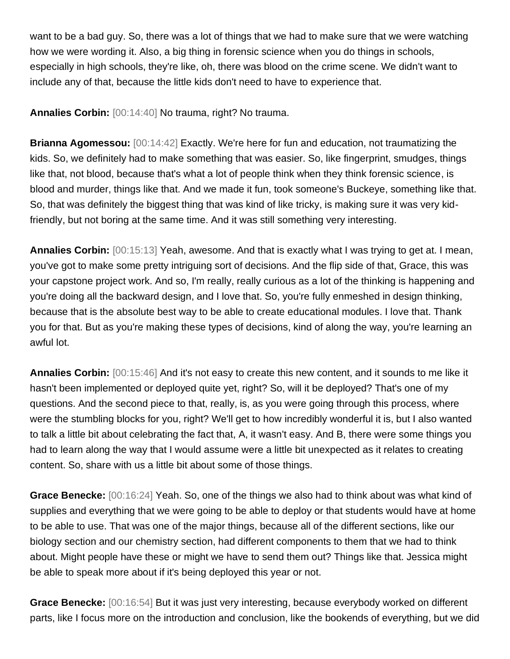want to be a bad guy. So, there was a lot of things that we had to make sure that we were watching how we were wording it. Also, a big thing in forensic science when you do things in schools, especially in high schools, they're like, oh, there was blood on the crime scene. We didn't want to include any of that, because the little kids don't need to have to experience that.

**Annalies Corbin:** [00:14:40] No trauma, right? No trauma.

**Brianna Agomessou:** [00:14:42] Exactly. We're here for fun and education, not traumatizing the kids. So, we definitely had to make something that was easier. So, like fingerprint, smudges, things like that, not blood, because that's what a lot of people think when they think forensic science, is blood and murder, things like that. And we made it fun, took someone's Buckeye, something like that. So, that was definitely the biggest thing that was kind of like tricky, is making sure it was very kidfriendly, but not boring at the same time. And it was still something very interesting.

**Annalies Corbin:** [00:15:13] Yeah, awesome. And that is exactly what I was trying to get at. I mean, you've got to make some pretty intriguing sort of decisions. And the flip side of that, Grace, this was your capstone project work. And so, I'm really, really curious as a lot of the thinking is happening and you're doing all the backward design, and I love that. So, you're fully enmeshed in design thinking, because that is the absolute best way to be able to create educational modules. I love that. Thank you for that. But as you're making these types of decisions, kind of along the way, you're learning an awful lot.

**Annalies Corbin:** [00:15:46] And it's not easy to create this new content, and it sounds to me like it hasn't been implemented or deployed quite yet, right? So, will it be deployed? That's one of my questions. And the second piece to that, really, is, as you were going through this process, where were the stumbling blocks for you, right? We'll get to how incredibly wonderful it is, but I also wanted to talk a little bit about celebrating the fact that, A, it wasn't easy. And B, there were some things you had to learn along the way that I would assume were a little bit unexpected as it relates to creating content. So, share with us a little bit about some of those things.

**Grace Benecke:** [00:16:24] Yeah. So, one of the things we also had to think about was what kind of supplies and everything that we were going to be able to deploy or that students would have at home to be able to use. That was one of the major things, because all of the different sections, like our biology section and our chemistry section, had different components to them that we had to think about. Might people have these or might we have to send them out? Things like that. Jessica might be able to speak more about if it's being deployed this year or not.

**Grace Benecke:** [00:16:54] But it was just very interesting, because everybody worked on different parts, like I focus more on the introduction and conclusion, like the bookends of everything, but we did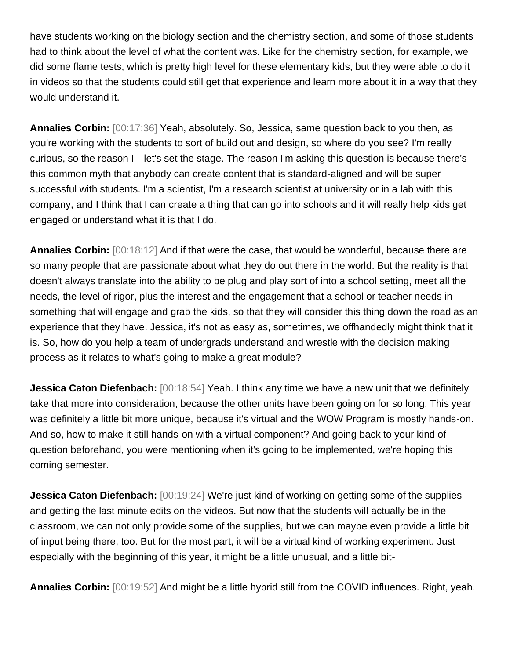have students working on the biology section and the chemistry section, and some of those students had to think about the level of what the content was. Like for the chemistry section, for example, we did some flame tests, which is pretty high level for these elementary kids, but they were able to do it in videos so that the students could still get that experience and learn more about it in a way that they would understand it.

**Annalies Corbin:** [00:17:36] Yeah, absolutely. So, Jessica, same question back to you then, as you're working with the students to sort of build out and design, so where do you see? I'm really curious, so the reason I—let's set the stage. The reason I'm asking this question is because there's this common myth that anybody can create content that is standard-aligned and will be super successful with students. I'm a scientist, I'm a research scientist at university or in a lab with this company, and I think that I can create a thing that can go into schools and it will really help kids get engaged or understand what it is that I do.

**Annalies Corbin:** [00:18:12] And if that were the case, that would be wonderful, because there are so many people that are passionate about what they do out there in the world. But the reality is that doesn't always translate into the ability to be plug and play sort of into a school setting, meet all the needs, the level of rigor, plus the interest and the engagement that a school or teacher needs in something that will engage and grab the kids, so that they will consider this thing down the road as an experience that they have. Jessica, it's not as easy as, sometimes, we offhandedly might think that it is. So, how do you help a team of undergrads understand and wrestle with the decision making process as it relates to what's going to make a great module?

**Jessica Caton Diefenbach:** [00:18:54] Yeah. I think any time we have a new unit that we definitely take that more into consideration, because the other units have been going on for so long. This year was definitely a little bit more unique, because it's virtual and the WOW Program is mostly hands-on. And so, how to make it still hands-on with a virtual component? And going back to your kind of question beforehand, you were mentioning when it's going to be implemented, we're hoping this coming semester.

**Jessica Caton Diefenbach:** [00:19:24] We're just kind of working on getting some of the supplies and getting the last minute edits on the videos. But now that the students will actually be in the classroom, we can not only provide some of the supplies, but we can maybe even provide a little bit of input being there, too. But for the most part, it will be a virtual kind of working experiment. Just especially with the beginning of this year, it might be a little unusual, and a little bit-

**Annalies Corbin:** [00:19:52] And might be a little hybrid still from the COVID influences. Right, yeah.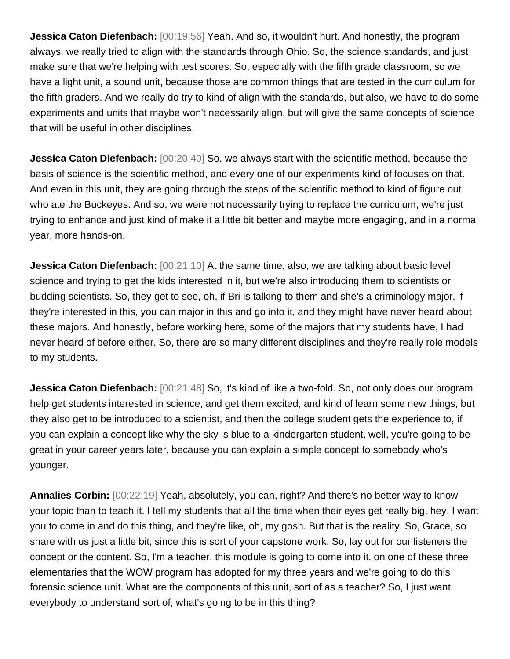**Jessica Caton Diefenbach:** [00:19:56] Yeah. And so, it wouldn't hurt. And honestly, the program always, we really tried to align with the standards through Ohio. So, the science standards, and just make sure that we're helping with test scores. So, especially with the fifth grade classroom, so we have a light unit, a sound unit, because those are common things that are tested in the curriculum for the fifth graders. And we really do try to kind of align with the standards, but also, we have to do some experiments and units that maybe won't necessarily align, but will give the same concepts of science that will be useful in other disciplines.

**Jessica Caton Diefenbach:**  $[00:20:40]$  So, we always start with the scientific method, because the basis of science is the scientific method, and every one of our experiments kind of focuses on that. And even in this unit, they are going through the steps of the scientific method to kind of figure out who ate the Buckeyes. And so, we were not necessarily trying to replace the curriculum, we're just trying to enhance and just kind of make it a little bit better and maybe more engaging, and in a normal year, more hands-on.

**Jessica Caton Diefenbach:** [00:21:10] At the same time, also, we are talking about basic level science and trying to get the kids interested in it, but we're also introducing them to scientists or budding scientists. So, they get to see, oh, if Bri is talking to them and she's a criminology major, if they're interested in this, you can major in this and go into it, and they might have never heard about these majors. And honestly, before working here, some of the majors that my students have, I had never heard of before either. So, there are so many different disciplines and they're really role models to my students.

**Jessica Caton Diefenbach:** [00:21:48] So, it's kind of like a two-fold. So, not only does our program help get students interested in science, and get them excited, and kind of learn some new things, but they also get to be introduced to a scientist, and then the college student gets the experience to, if you can explain a concept like why the sky is blue to a kindergarten student, well, you're going to be great in your career years later, because you can explain a simple concept to somebody who's younger.

**Annalies Corbin:** [00:22:19] Yeah, absolutely, you can, right? And there's no better way to know your topic than to teach it. I tell my students that all the time when their eyes get really big, hey, I want you to come in and do this thing, and they're like, oh, my gosh. But that is the reality. So, Grace, so share with us just a little bit, since this is sort of your capstone work. So, lay out for our listeners the concept or the content. So, I'm a teacher, this module is going to come into it, on one of these three elementaries that the WOW program has adopted for my three years and we're going to do this forensic science unit. What are the components of this unit, sort of as a teacher? So, I just want everybody to understand sort of, what's going to be in this thing?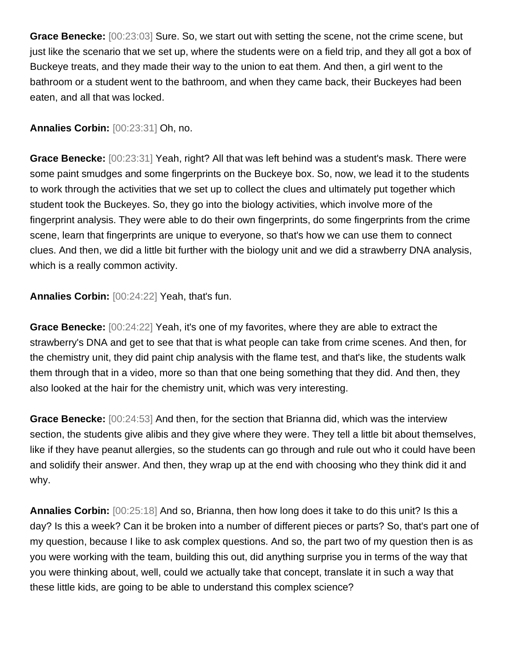**Grace Benecke:** [00:23:03] Sure. So, we start out with setting the scene, not the crime scene, but just like the scenario that we set up, where the students were on a field trip, and they all got a box of Buckeye treats, and they made their way to the union to eat them. And then, a girl went to the bathroom or a student went to the bathroom, and when they came back, their Buckeyes had been eaten, and all that was locked.

## **Annalies Corbin:** [00:23:31] Oh, no.

**Grace Benecke:** [00:23:31] Yeah, right? All that was left behind was a student's mask. There were some paint smudges and some fingerprints on the Buckeye box. So, now, we lead it to the students to work through the activities that we set up to collect the clues and ultimately put together which student took the Buckeyes. So, they go into the biology activities, which involve more of the fingerprint analysis. They were able to do their own fingerprints, do some fingerprints from the crime scene, learn that fingerprints are unique to everyone, so that's how we can use them to connect clues. And then, we did a little bit further with the biology unit and we did a strawberry DNA analysis, which is a really common activity.

**Annalies Corbin:** [00:24:22] Yeah, that's fun.

**Grace Benecke:** [00:24:22] Yeah, it's one of my favorites, where they are able to extract the strawberry's DNA and get to see that that is what people can take from crime scenes. And then, for the chemistry unit, they did paint chip analysis with the flame test, and that's like, the students walk them through that in a video, more so than that one being something that they did. And then, they also looked at the hair for the chemistry unit, which was very interesting.

**Grace Benecke:** [00:24:53] And then, for the section that Brianna did, which was the interview section, the students give alibis and they give where they were. They tell a little bit about themselves, like if they have peanut allergies, so the students can go through and rule out who it could have been and solidify their answer. And then, they wrap up at the end with choosing who they think did it and why.

**Annalies Corbin:** [00:25:18] And so, Brianna, then how long does it take to do this unit? Is this a day? Is this a week? Can it be broken into a number of different pieces or parts? So, that's part one of my question, because I like to ask complex questions. And so, the part two of my question then is as you were working with the team, building this out, did anything surprise you in terms of the way that you were thinking about, well, could we actually take that concept, translate it in such a way that these little kids, are going to be able to understand this complex science?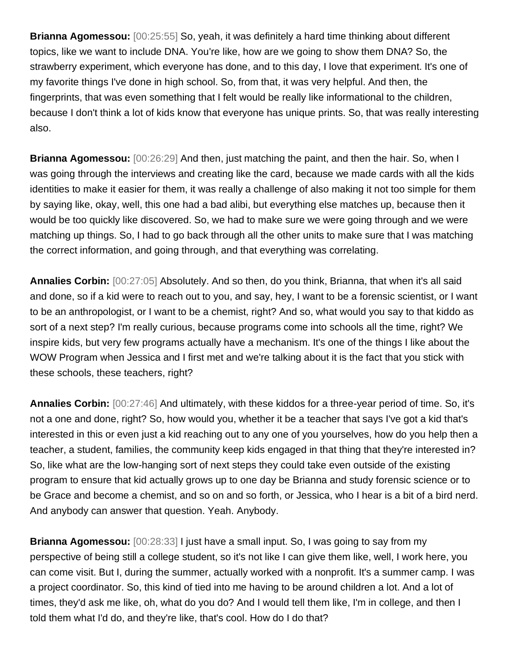**Brianna Agomessou:** [00:25:55] So, yeah, it was definitely a hard time thinking about different topics, like we want to include DNA. You're like, how are we going to show them DNA? So, the strawberry experiment, which everyone has done, and to this day, I love that experiment. It's one of my favorite things I've done in high school. So, from that, it was very helpful. And then, the fingerprints, that was even something that I felt would be really like informational to the children, because I don't think a lot of kids know that everyone has unique prints. So, that was really interesting also.

**Brianna Agomessou:** [00:26:29] And then, just matching the paint, and then the hair. So, when I was going through the interviews and creating like the card, because we made cards with all the kids identities to make it easier for them, it was really a challenge of also making it not too simple for them by saying like, okay, well, this one had a bad alibi, but everything else matches up, because then it would be too quickly like discovered. So, we had to make sure we were going through and we were matching up things. So, I had to go back through all the other units to make sure that I was matching the correct information, and going through, and that everything was correlating.

**Annalies Corbin:** [00:27:05] Absolutely. And so then, do you think, Brianna, that when it's all said and done, so if a kid were to reach out to you, and say, hey, I want to be a forensic scientist, or I want to be an anthropologist, or I want to be a chemist, right? And so, what would you say to that kiddo as sort of a next step? I'm really curious, because programs come into schools all the time, right? We inspire kids, but very few programs actually have a mechanism. It's one of the things I like about the WOW Program when Jessica and I first met and we're talking about it is the fact that you stick with these schools, these teachers, right?

**Annalies Corbin:** [00:27:46] And ultimately, with these kiddos for a three-year period of time. So, it's not a one and done, right? So, how would you, whether it be a teacher that says I've got a kid that's interested in this or even just a kid reaching out to any one of you yourselves, how do you help then a teacher, a student, families, the community keep kids engaged in that thing that they're interested in? So, like what are the low-hanging sort of next steps they could take even outside of the existing program to ensure that kid actually grows up to one day be Brianna and study forensic science or to be Grace and become a chemist, and so on and so forth, or Jessica, who I hear is a bit of a bird nerd. And anybody can answer that question. Yeah. Anybody.

**Brianna Agomessou:** [00:28:33] I just have a small input. So, I was going to say from my perspective of being still a college student, so it's not like I can give them like, well, I work here, you can come visit. But I, during the summer, actually worked with a nonprofit. It's a summer camp. I was a project coordinator. So, this kind of tied into me having to be around children a lot. And a lot of times, they'd ask me like, oh, what do you do? And I would tell them like, I'm in college, and then I told them what I'd do, and they're like, that's cool. How do I do that?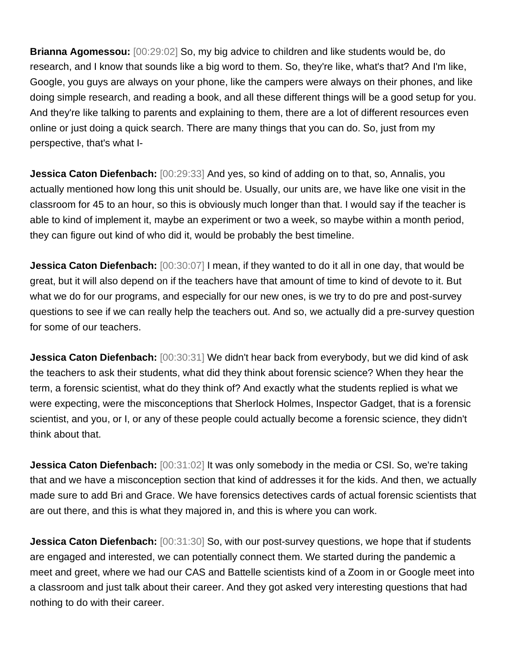**Brianna Agomessou:** [00:29:02] So, my big advice to children and like students would be, do research, and I know that sounds like a big word to them. So, they're like, what's that? And I'm like, Google, you guys are always on your phone, like the campers were always on their phones, and like doing simple research, and reading a book, and all these different things will be a good setup for you. And they're like talking to parents and explaining to them, there are a lot of different resources even online or just doing a quick search. There are many things that you can do. So, just from my perspective, that's what I-

**Jessica Caton Diefenbach:** [00:29:33] And yes, so kind of adding on to that, so, Annalis, you actually mentioned how long this unit should be. Usually, our units are, we have like one visit in the classroom for 45 to an hour, so this is obviously much longer than that. I would say if the teacher is able to kind of implement it, maybe an experiment or two a week, so maybe within a month period, they can figure out kind of who did it, would be probably the best timeline.

**Jessica Caton Diefenbach:** [00:30:07] I mean, if they wanted to do it all in one day, that would be great, but it will also depend on if the teachers have that amount of time to kind of devote to it. But what we do for our programs, and especially for our new ones, is we try to do pre and post-survey questions to see if we can really help the teachers out. And so, we actually did a pre-survey question for some of our teachers.

**Jessica Caton Diefenbach:** [00:30:31] We didn't hear back from everybody, but we did kind of ask the teachers to ask their students, what did they think about forensic science? When they hear the term, a forensic scientist, what do they think of? And exactly what the students replied is what we were expecting, were the misconceptions that Sherlock Holmes, Inspector Gadget, that is a forensic scientist, and you, or I, or any of these people could actually become a forensic science, they didn't think about that.

**Jessica Caton Diefenbach:** [00:31:02] It was only somebody in the media or CSI. So, we're taking that and we have a misconception section that kind of addresses it for the kids. And then, we actually made sure to add Bri and Grace. We have forensics detectives cards of actual forensic scientists that are out there, and this is what they majored in, and this is where you can work.

**Jessica Caton Diefenbach:** [00:31:30] So, with our post-survey questions, we hope that if students are engaged and interested, we can potentially connect them. We started during the pandemic a meet and greet, where we had our CAS and Battelle scientists kind of a Zoom in or Google meet into a classroom and just talk about their career. And they got asked very interesting questions that had nothing to do with their career.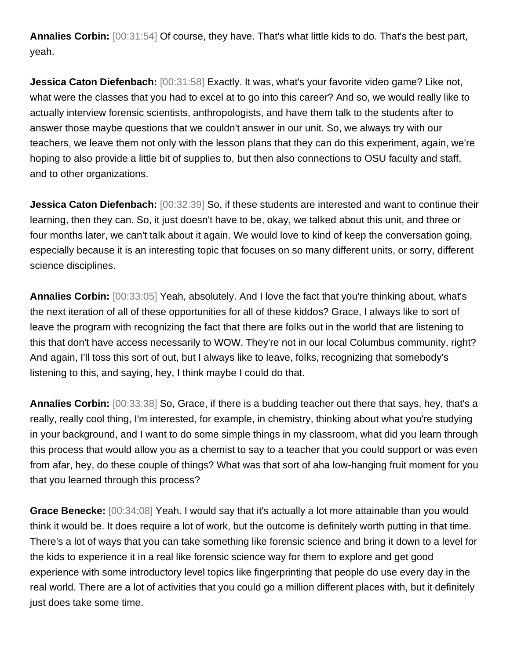**Annalies Corbin:** [00:31:54] Of course, they have. That's what little kids to do. That's the best part, yeah.

**Jessica Caton Diefenbach:** [00:31:58] Exactly. It was, what's your favorite video game? Like not, what were the classes that you had to excel at to go into this career? And so, we would really like to actually interview forensic scientists, anthropologists, and have them talk to the students after to answer those maybe questions that we couldn't answer in our unit. So, we always try with our teachers, we leave them not only with the lesson plans that they can do this experiment, again, we're hoping to also provide a little bit of supplies to, but then also connections to OSU faculty and staff, and to other organizations.

**Jessica Caton Diefenbach:** [00:32:39] So, if these students are interested and want to continue their learning, then they can. So, it just doesn't have to be, okay, we talked about this unit, and three or four months later, we can't talk about it again. We would love to kind of keep the conversation going, especially because it is an interesting topic that focuses on so many different units, or sorry, different science disciplines.

**Annalies Corbin:** [00:33:05] Yeah, absolutely. And I love the fact that you're thinking about, what's the next iteration of all of these opportunities for all of these kiddos? Grace, I always like to sort of leave the program with recognizing the fact that there are folks out in the world that are listening to this that don't have access necessarily to WOW. They're not in our local Columbus community, right? And again, I'll toss this sort of out, but I always like to leave, folks, recognizing that somebody's listening to this, and saying, hey, I think maybe I could do that.

**Annalies Corbin:** [00:33:38] So, Grace, if there is a budding teacher out there that says, hey, that's a really, really cool thing, I'm interested, for example, in chemistry, thinking about what you're studying in your background, and I want to do some simple things in my classroom, what did you learn through this process that would allow you as a chemist to say to a teacher that you could support or was even from afar, hey, do these couple of things? What was that sort of aha low-hanging fruit moment for you that you learned through this process?

**Grace Benecke:** [00:34:08] Yeah. I would say that it's actually a lot more attainable than you would think it would be. It does require a lot of work, but the outcome is definitely worth putting in that time. There's a lot of ways that you can take something like forensic science and bring it down to a level for the kids to experience it in a real like forensic science way for them to explore and get good experience with some introductory level topics like fingerprinting that people do use every day in the real world. There are a lot of activities that you could go a million different places with, but it definitely just does take some time.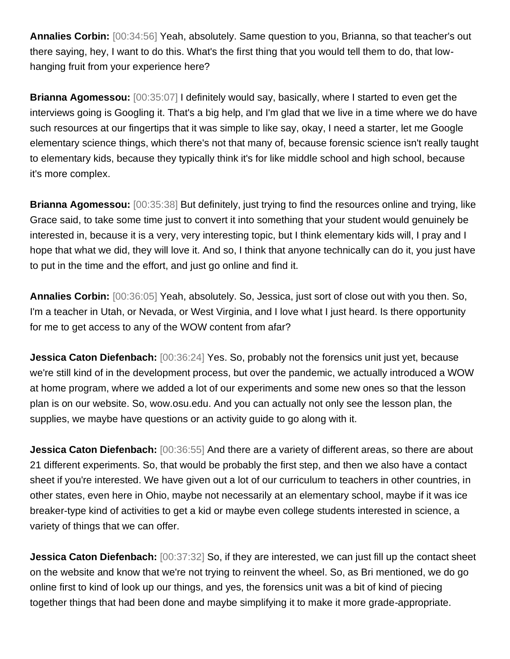**Annalies Corbin:** [00:34:56] Yeah, absolutely. Same question to you, Brianna, so that teacher's out there saying, hey, I want to do this. What's the first thing that you would tell them to do, that lowhanging fruit from your experience here?

**Brianna Agomessou:** [00:35:07] I definitely would say, basically, where I started to even get the interviews going is Googling it. That's a big help, and I'm glad that we live in a time where we do have such resources at our fingertips that it was simple to like say, okay, I need a starter, let me Google elementary science things, which there's not that many of, because forensic science isn't really taught to elementary kids, because they typically think it's for like middle school and high school, because it's more complex.

**Brianna Agomessou:** [00:35:38] But definitely, just trying to find the resources online and trying, like Grace said, to take some time just to convert it into something that your student would genuinely be interested in, because it is a very, very interesting topic, but I think elementary kids will, I pray and I hope that what we did, they will love it. And so, I think that anyone technically can do it, you just have to put in the time and the effort, and just go online and find it.

**Annalies Corbin:** [00:36:05] Yeah, absolutely. So, Jessica, just sort of close out with you then. So, I'm a teacher in Utah, or Nevada, or West Virginia, and I love what I just heard. Is there opportunity for me to get access to any of the WOW content from afar?

**Jessica Caton Diefenbach:** [00:36:24] Yes. So, probably not the forensics unit just yet, because we're still kind of in the development process, but over the pandemic, we actually introduced a WOW at home program, where we added a lot of our experiments and some new ones so that the lesson plan is on our website. So, wow.osu.edu. And you can actually not only see the lesson plan, the supplies, we maybe have questions or an activity guide to go along with it.

**Jessica Caton Diefenbach:** [00:36:55] And there are a variety of different areas, so there are about 21 different experiments. So, that would be probably the first step, and then we also have a contact sheet if you're interested. We have given out a lot of our curriculum to teachers in other countries, in other states, even here in Ohio, maybe not necessarily at an elementary school, maybe if it was ice breaker-type kind of activities to get a kid or maybe even college students interested in science, a variety of things that we can offer.

**Jessica Caton Diefenbach:** [00:37:32] So, if they are interested, we can just fill up the contact sheet on the website and know that we're not trying to reinvent the wheel. So, as Bri mentioned, we do go online first to kind of look up our things, and yes, the forensics unit was a bit of kind of piecing together things that had been done and maybe simplifying it to make it more grade-appropriate.